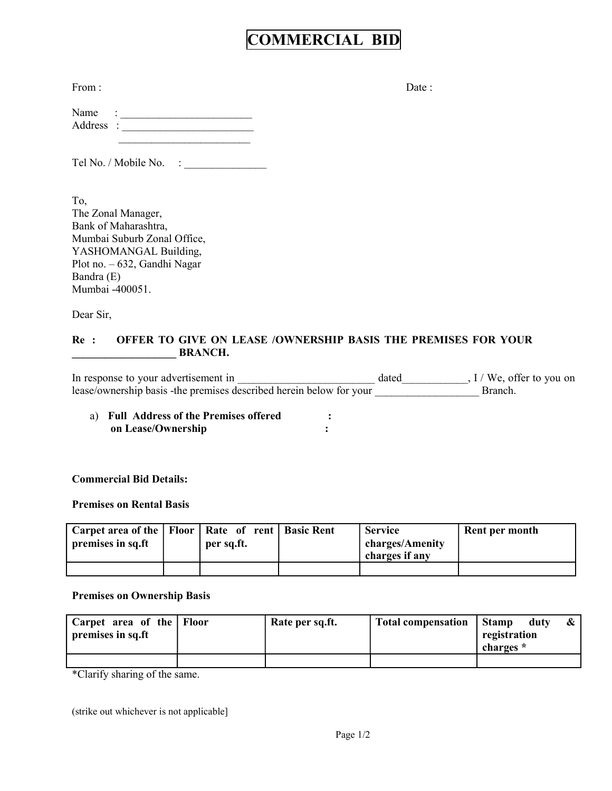# COMMERCIAL BID

| Date : |
|--------|
|        |

| Name      | ٠<br>٠ |  |
|-----------|--------|--|
| Address : |        |  |
|           |        |  |

Tel No. / Mobile No. : \_\_\_\_\_\_\_\_\_\_\_\_\_\_\_

To, The Zonal Manager, Bank of Maharashtra, Mumbai Suburb Zonal Office, YASHOMANGAL Building, Plot no. – 632, Gandhi Nagar Bandra (E) Mumbai -400051.

Dear Sir,

## Re : OFFER TO GIVE ON LEASE /OWNERSHIP BASIS THE PREMISES FOR YOUR \_\_\_\_\_\_\_\_\_\_\_\_\_\_\_\_\_\_\_ BRANCH.

| In response to your advertisement in                                 | dated | $I /$ We, offer to you on |
|----------------------------------------------------------------------|-------|---------------------------|
| lease/ownership basis - the premises described herein below for your |       | Branch                    |

a) Full Address of the Premises offered : on Lease/Ownership :  $\blacksquare$ 

## Commercial Bid Details:

#### Premises on Rental Basis

| Carpet area of the   Floor   Rate of rent   Basic Rent<br>premises in sq.ft | per sq.ft. | <b>Service</b><br>charges/Amenity<br>charges if any | Rent per month |
|-----------------------------------------------------------------------------|------------|-----------------------------------------------------|----------------|
|                                                                             |            |                                                     |                |

#### Premises on Ownership Basis

| 'Carpet area of the   Floor<br>premises in sq.ft | Rate per sq.ft. | <b>Total compensation</b> | Stamp<br>registration<br>charges * | duty |  |
|--------------------------------------------------|-----------------|---------------------------|------------------------------------|------|--|
|                                                  |                 |                           |                                    |      |  |

\*Clarify sharing of the same.

(strike out whichever is not applicable]